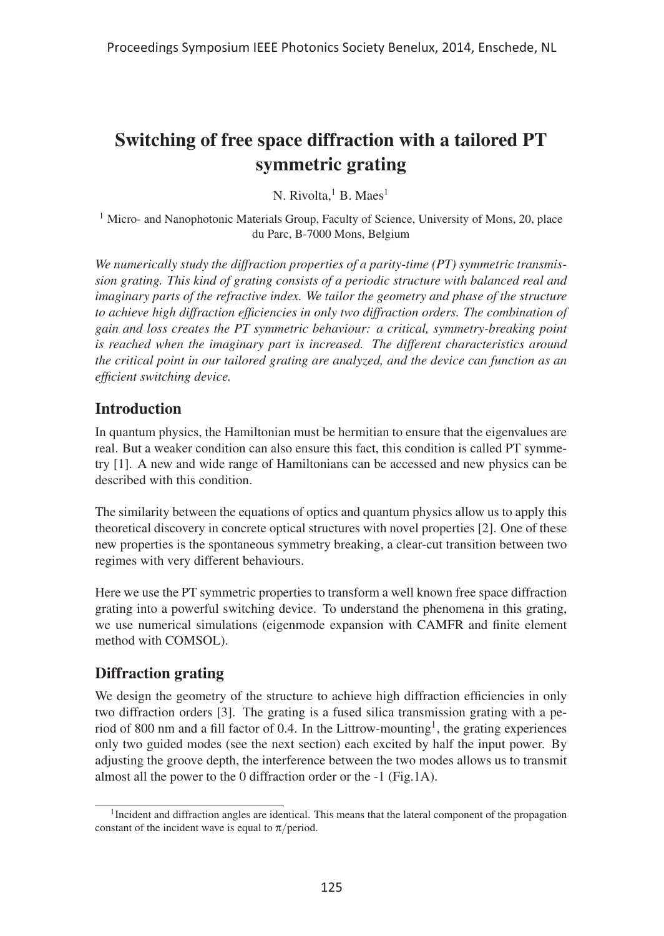# Switching of free space diffraction with a tailored PT symmetric grating

N. Rivolta,<sup>1</sup> B. Maes<sup>1</sup>

<sup>1</sup> Micro- and Nanophotonic Materials Group, Faculty of Science, University of Mons, 20, place du Parc, B-7000 Mons, Belgium

*We numerically study the diffraction properties of a parity-time (PT) symmetric transmission grating. This kind of grating consists of a periodic structure with balanced real and imaginary parts of the refractive index. We tailor the geometry and phase of the structure to achieve high diffraction efficiencies in only two diffraction orders. The combination of gain and loss creates the PT symmetric behaviour: a critical, symmetry-breaking point is reached when the imaginary part is increased. The different characteristics around the critical point in our tailored grating are analyzed, and the device can function as an efficient switching device.*

# Introduction

In quantum physics, the Hamiltonian must be hermitian to ensure that the eigenvalues are real. But a weaker condition can also ensure this fact, this condition is called PT symmetry [1]. A new and wide range of Hamiltonians can be accessed and new physics can be described with this condition.

The similarity between the equations of optics and quantum physics allow us to apply this theoretical discovery in concrete optical structures with novel properties [2]. One of these new properties is the spontaneous symmetry breaking, a clear-cut transition between two regimes with very different behaviours.

Here we use the PT symmetric properties to transform a well known free space diffraction grating into a powerful switching device. To understand the phenomena in this grating, we use numerical simulations (eigenmode expansion with CAMFR and finite element method with COMSOL).

# Diffraction grating

We design the geometry of the structure to achieve high diffraction efficiencies in only two diffraction orders [3]. The grating is a fused silica transmission grating with a period of 800 nm and a fill factor of 0.4. In the Littrow-mounting<sup>1</sup>, the grating experiences only two guided modes (see the next section) each excited by half the input power. By adjusting the groove depth, the interference between the two modes allows us to transmit almost all the power to the 0 diffraction order or the -1 (Fig.1A).

<sup>&</sup>lt;sup>1</sup>Incident and diffraction angles are identical. This means that the lateral component of the propagation constant of the incident wave is equal to  $\pi$ /period.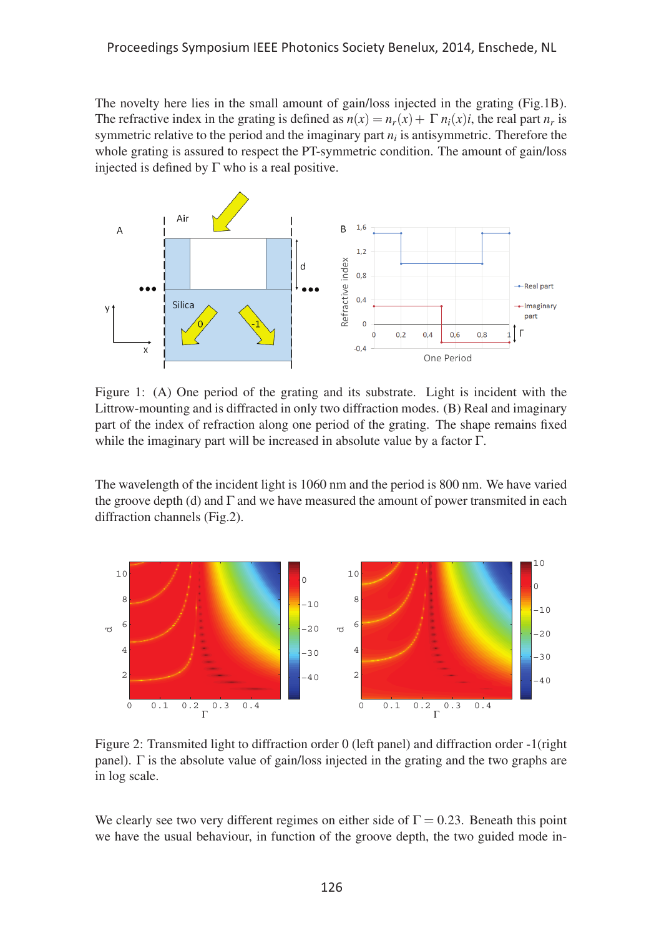The novelty here lies in the small amount of gain/loss injected in the grating (Fig.1B). The refractive index in the grating is defined as  $n(x) = n_r(x) + \Gamma n_i(x)i$ , the real part  $n_r$  is symmetric relative to the period and the imaginary part *ni* is antisymmetric. Therefore the whole grating is assured to respect the PT-symmetric condition. The amount of gain/loss injected is defined by  $\Gamma$  who is a real positive.



Figure 1: (A) One period of the grating and its substrate. Light is incident with the Littrow-mounting and is diffracted in only two diffraction modes. (B) Real and imaginary part of the index of refraction along one period of the grating. The shape remains fixed while the imaginary part will be increased in absolute value by a factor Γ.

The wavelength of the incident light is 1060 nm and the period is 800 nm. We have varied the groove depth (d) and  $\Gamma$  and we have measured the amount of power transmited in each diffraction channels (Fig.2).



Figure 2: Transmited light to diffraction order 0 (left panel) and diffraction order -1(right panel). Γ is the absolute value of gain/loss injected in the grating and the two graphs are in log scale.

We clearly see two very different regimes on either side of  $\Gamma = 0.23$ . Beneath this point we have the usual behaviour, in function of the groove depth, the two guided mode in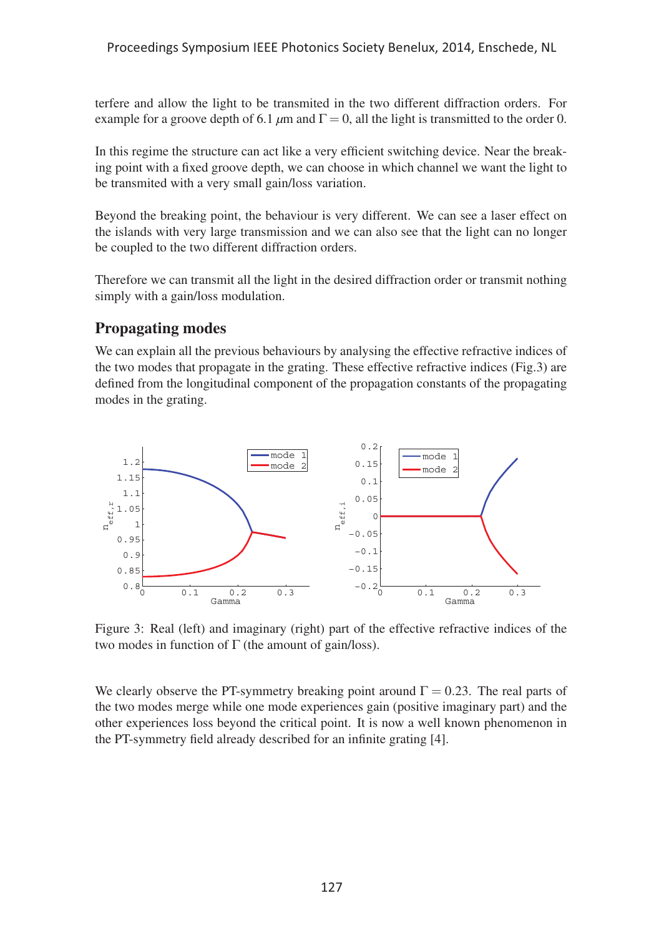terfere and allow the light to be transmited in the two different diffraction orders. For example for a groove depth of 6.1  $\mu$ m and  $\Gamma = 0$ , all the light is transmitted to the order 0.

In this regime the structure can act like a very efficient switching device. Near the breaking point with a fixed groove depth, we can choose in which channel we want the light to be transmited with a very small gain/loss variation.

Beyond the breaking point, the behaviour is very different. We can see a laser effect on the islands with very large transmission and we can also see that the light can no longer be coupled to the two different diffraction orders.

Therefore we can transmit all the light in the desired diffraction order or transmit nothing simply with a gain/loss modulation.

# Propagating modes

We can explain all the previous behaviours by analysing the effective refractive indices of the two modes that propagate in the grating. These effective refractive indices (Fig.3) are defined from the longitudinal component of the propagation constants of the propagating modes in the grating.



Figure 3: Real (left) and imaginary (right) part of the effective refractive indices of the two modes in function of  $\Gamma$  (the amount of gain/loss).

We clearly observe the PT-symmetry breaking point around  $\Gamma = 0.23$ . The real parts of the two modes merge while one mode experiences gain (positive imaginary part) and the other experiences loss beyond the critical point. It is now a well known phenomenon in the PT-symmetry field already described for an infinite grating [4].